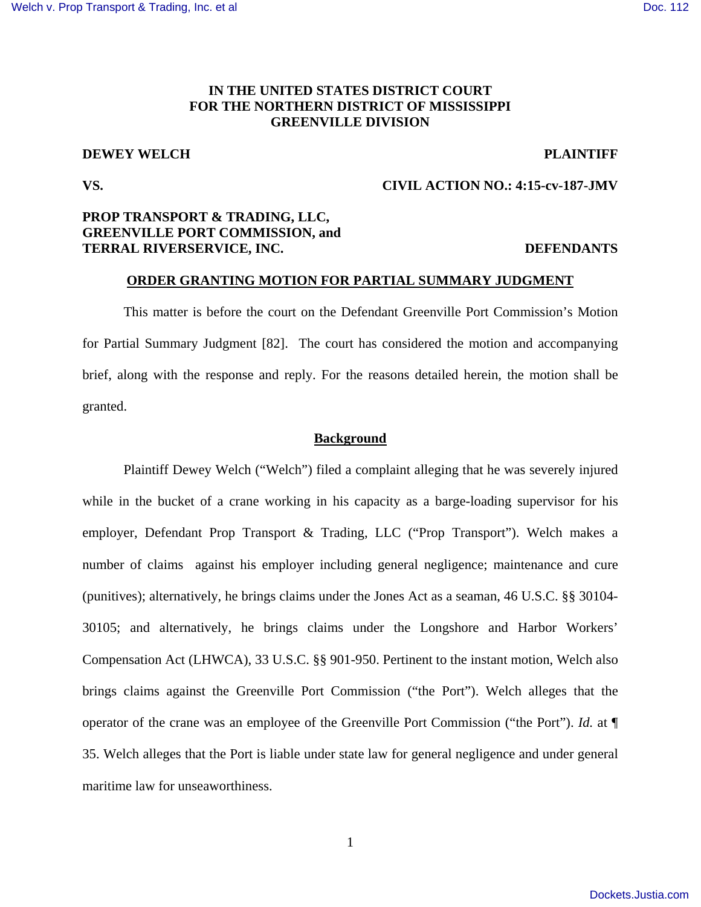# **IN THE UNITED STATES DISTRICT COURT FOR THE NORTHERN DISTRICT OF MISSISSIPPI GREENVILLE DIVISION**

# **DEWEY WELCH PLAINTIFF**

## **VS. CIVIL ACTION NO.: 4:15-cv-187-JMV**

# **PROP TRANSPORT & TRADING, LLC, GREENVILLE PORT COMMISSION, and TERRAL RIVERSERVICE, INC. DEFENDANTS**

### **ORDER GRANTING MOTION FOR PARTIAL SUMMARY JUDGMENT**

 This matter is before the court on the Defendant Greenville Port Commission's Motion for Partial Summary Judgment [82]. The court has considered the motion and accompanying brief, along with the response and reply. For the reasons detailed herein, the motion shall be granted.

### **Background**

Plaintiff Dewey Welch ("Welch") filed a complaint alleging that he was severely injured while in the bucket of a crane working in his capacity as a barge-loading supervisor for his employer, Defendant Prop Transport & Trading, LLC ("Prop Transport"). Welch makes a number of claims against his employer including general negligence; maintenance and cure (punitives); alternatively, he brings claims under the Jones Act as a seaman, 46 U.S.C. §§ 30104- 30105; and alternatively, he brings claims under the Longshore and Harbor Workers' Compensation Act (LHWCA), 33 U.S.C. §§ 901-950. Pertinent to the instant motion, Welch also brings claims against the Greenville Port Commission ("the Port"). Welch alleges that the operator of the crane was an employee of the Greenville Port Commission ("the Port"). *Id.* at ¶ 35. Welch alleges that the Port is liable under state law for general negligence and under general maritime law for unseaworthiness.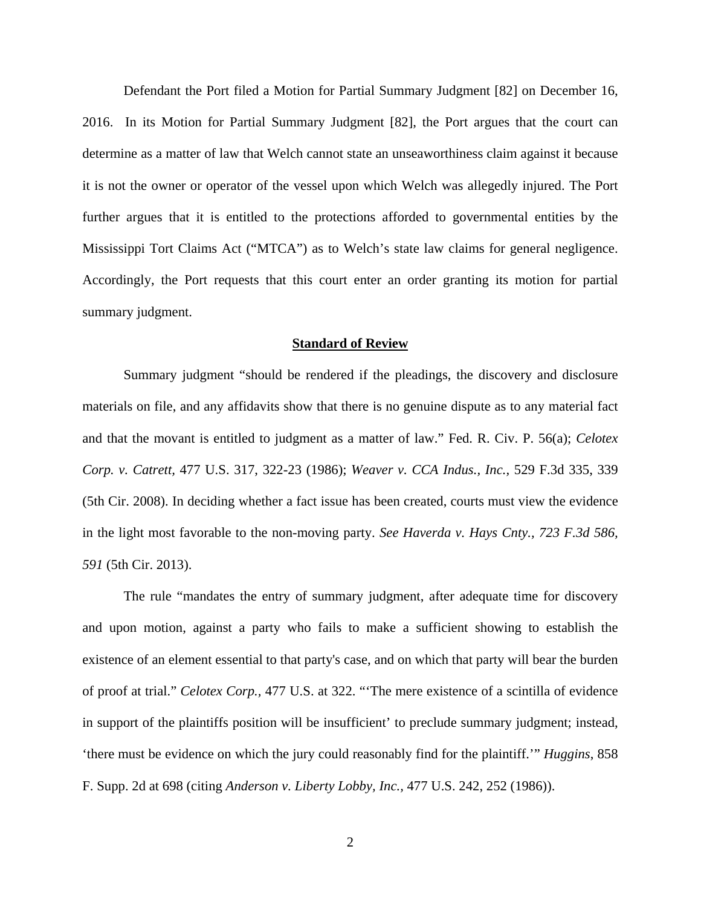Defendant the Port filed a Motion for Partial Summary Judgment [82] on December 16, 2016. In its Motion for Partial Summary Judgment [82], the Port argues that the court can determine as a matter of law that Welch cannot state an unseaworthiness claim against it because it is not the owner or operator of the vessel upon which Welch was allegedly injured. The Port further argues that it is entitled to the protections afforded to governmental entities by the Mississippi Tort Claims Act ("MTCA") as to Welch's state law claims for general negligence. Accordingly, the Port requests that this court enter an order granting its motion for partial summary judgment.

#### **Standard of Review**

Summary judgment "should be rendered if the pleadings, the discovery and disclosure materials on file, and any affidavits show that there is no genuine dispute as to any material fact and that the movant is entitled to judgment as a matter of law." Fed. R. Civ. P. 56(a); *Celotex Corp. v. Catrett,* 477 U.S. 317, 322-23 (1986); *Weaver v. CCA Indus., Inc.,* 529 F.3d 335, 339 (5th Cir. 2008). In deciding whether a fact issue has been created, courts must view the evidence in the light most favorable to the non-moving party. *See Haverda v. Hays Cnty., 723 F.3d 586, 591* (5th Cir. 2013).

The rule "mandates the entry of summary judgment, after adequate time for discovery and upon motion, against a party who fails to make a sufficient showing to establish the existence of an element essential to that party's case, and on which that party will bear the burden of proof at trial." *Celotex Corp.,* 477 U.S. at 322. "'The mere existence of a scintilla of evidence in support of the plaintiffs position will be insufficient' to preclude summary judgment; instead, 'there must be evidence on which the jury could reasonably find for the plaintiff.'" *Huggins*, 858 F. Supp. 2d at 698 (citing *Anderson v. Liberty Lobby, Inc.,* 477 U.S. 242, 252 (1986)).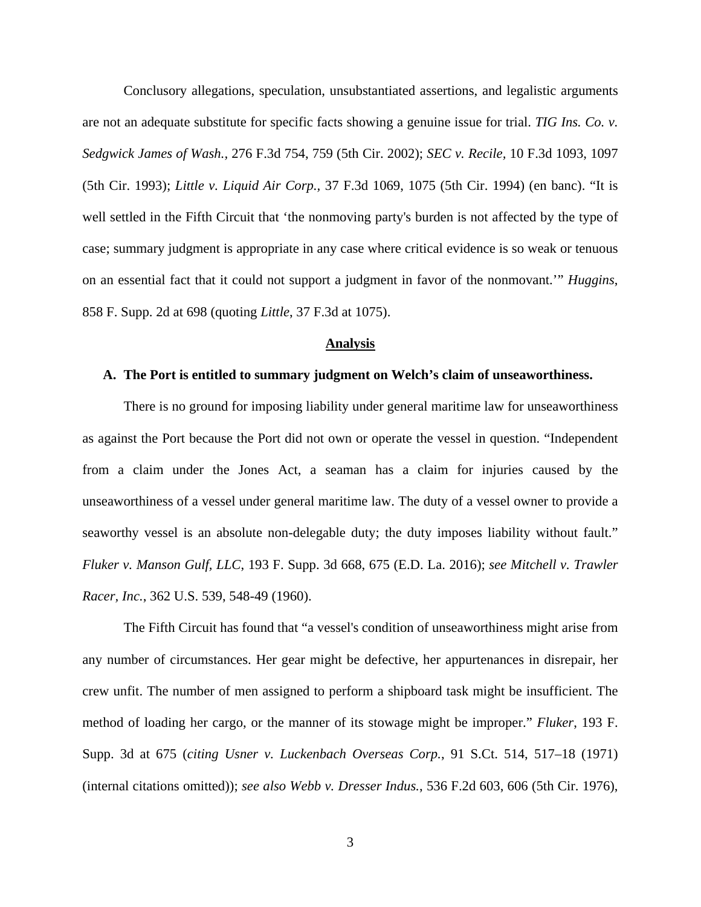Conclusory allegations, speculation, unsubstantiated assertions, and legalistic arguments are not an adequate substitute for specific facts showing a genuine issue for trial. *TIG Ins. Co. v. Sedgwick James of Wash.,* 276 F.3d 754, 759 (5th Cir. 2002); *SEC v. Recile,* 10 F.3d 1093, 1097 (5th Cir. 1993); *Little v. Liquid Air Corp.,* 37 F.3d 1069, 1075 (5th Cir. 1994) (en banc). "It is well settled in the Fifth Circuit that 'the nonmoving party's burden is not affected by the type of case; summary judgment is appropriate in any case where critical evidence is so weak or tenuous on an essential fact that it could not support a judgment in favor of the nonmovant.'" *Huggins*, 858 F. Supp. 2d at 698 (quoting *Little*, 37 F.3d at 1075).

#### **Analysis**

## **A. The Port is entitled to summary judgment on Welch's claim of unseaworthiness.**

 There is no ground for imposing liability under general maritime law for unseaworthiness as against the Port because the Port did not own or operate the vessel in question. "Independent from a claim under the Jones Act, a seaman has a claim for injuries caused by the unseaworthiness of a vessel under general maritime law. The duty of a vessel owner to provide a seaworthy vessel is an absolute non-delegable duty; the duty imposes liability without fault." *Fluker v. Manson Gulf, LLC*, 193 F. Supp. 3d 668, 675 (E.D. La. 2016); *see Mitchell v. Trawler Racer, Inc.*, 362 U.S. 539, 548-49 (1960).

 The Fifth Circuit has found that "a vessel's condition of unseaworthiness might arise from any number of circumstances. Her gear might be defective, her appurtenances in disrepair, her crew unfit. The number of men assigned to perform a shipboard task might be insufficient. The method of loading her cargo, or the manner of its stowage might be improper." *Fluker*, 193 F. Supp. 3d at 675 (*citing Usner v. Luckenbach Overseas Corp.*, 91 S.Ct. 514, 517–18 (1971) (internal citations omitted)); *see also Webb v. Dresser Indus.*, 536 F.2d 603, 606 (5th Cir. 1976),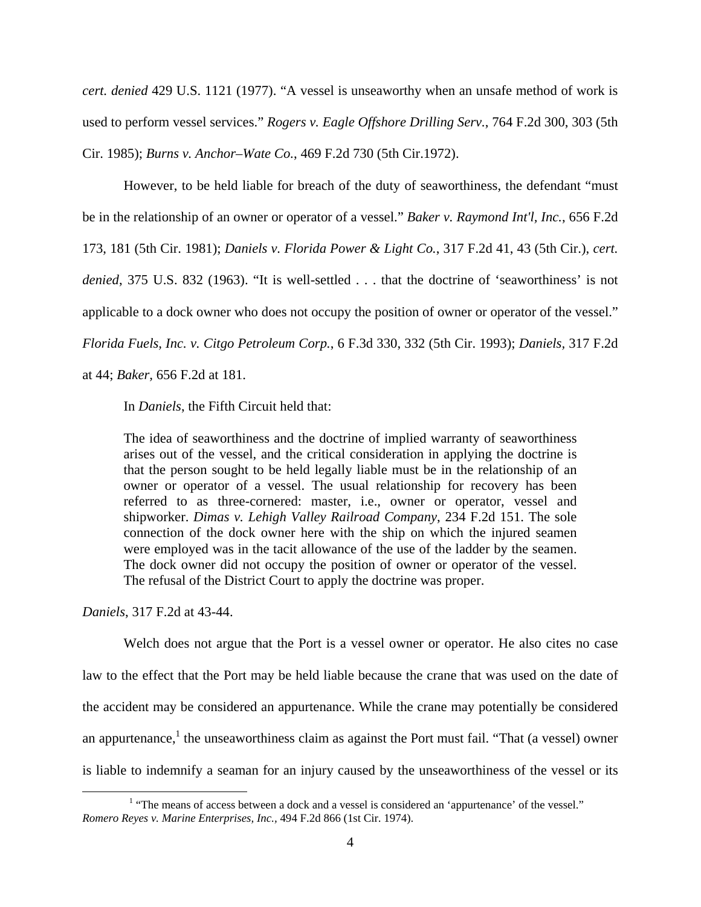*cert. denied* 429 U.S. 1121 (1977). "A vessel is unseaworthy when an unsafe method of work is used to perform vessel services." *Rogers v. Eagle Offshore Drilling Serv.*, 764 F.2d 300, 303 (5th Cir. 1985); *Burns v. Anchor–Wate Co.*, 469 F.2d 730 (5th Cir.1972).

 However, to be held liable for breach of the duty of seaworthiness, the defendant "must be in the relationship of an owner or operator of a vessel." *Baker v. Raymond Int'l, Inc.*, 656 F.2d 173, 181 (5th Cir. 1981); *Daniels v. Florida Power & Light Co.*, 317 F.2d 41, 43 (5th Cir.), *cert. denied*, 375 U.S. 832 (1963). "It is well-settled . . . that the doctrine of 'seaworthiness' is not applicable to a dock owner who does not occupy the position of owner or operator of the vessel." *Florida Fuels, Inc. v. Citgo Petroleum Corp.*, 6 F.3d 330, 332 (5th Cir. 1993); *Daniels,* 317 F.2d at 44; *Baker,* 656 F.2d at 181.

In *Daniels*, the Fifth Circuit held that:

The idea of seaworthiness and the doctrine of implied warranty of seaworthiness arises out of the vessel, and the critical consideration in applying the doctrine is that the person sought to be held legally liable must be in the relationship of an owner or operator of a vessel. The usual relationship for recovery has been referred to as three-cornered: master, i.e., owner or operator, vessel and shipworker. *Dimas v. Lehigh Valley Railroad Company*, 234 F.2d 151. The sole connection of the dock owner here with the ship on which the injured seamen were employed was in the tacit allowance of the use of the ladder by the seamen. The dock owner did not occupy the position of owner or operator of the vessel. The refusal of the District Court to apply the doctrine was proper.

*Daniels*, 317 F.2d at 43-44.

 Welch does not argue that the Port is a vessel owner or operator. He also cites no case law to the effect that the Port may be held liable because the crane that was used on the date of the accident may be considered an appurtenance. While the crane may potentially be considered an appurtenance,<sup>1</sup> the unseaworthiness claim as against the Port must fail. "That (a vessel) owner is liable to indemnify a seaman for an injury caused by the unseaworthiness of the vessel or its

 $\overline{a}$ <sup>1</sup> "The means of access between a dock and a vessel is considered an 'appurtenance' of the vessel." *Romero Reyes v. Marine Enterprises, Inc.,* 494 F.2d 866 (1st Cir. 1974).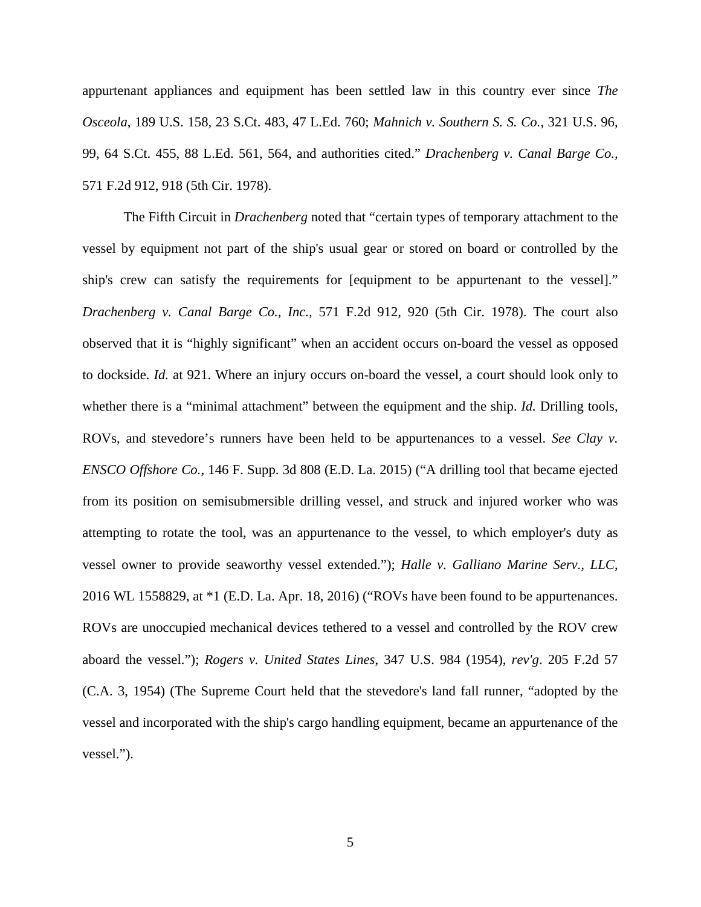appurtenant appliances and equipment has been settled law in this country ever since *The Osceola*, 189 U.S. 158, 23 S.Ct. 483, 47 L.Ed. 760; *Mahnich v. Southern S. S. Co.*, 321 U.S. 96, 99, 64 S.Ct. 455, 88 L.Ed. 561, 564, and authorities cited." *Drachenberg v. Canal Barge Co.,* 571 F.2d 912, 918 (5th Cir. 1978).

 The Fifth Circuit in *Drachenberg* noted that "certain types of temporary attachment to the vessel by equipment not part of the ship's usual gear or stored on board or controlled by the ship's crew can satisfy the requirements for [equipment to be appurtenant to the vessel]." *Drachenberg v. Canal Barge Co., Inc.,* 571 F.2d 912, 920 (5th Cir. 1978). The court also observed that it is "highly significant" when an accident occurs on-board the vessel as opposed to dockside. *Id.* at 921. Where an injury occurs on-board the vessel, a court should look only to whether there is a "minimal attachment" between the equipment and the ship. *Id.* Drilling tools, ROVs, and stevedore's runners have been held to be appurtenances to a vessel. *See Clay v. ENSCO Offshore Co.*, 146 F. Supp. 3d 808 (E.D. La. 2015) ("A drilling tool that became ejected from its position on semisubmersible drilling vessel, and struck and injured worker who was attempting to rotate the tool, was an appurtenance to the vessel, to which employer's duty as vessel owner to provide seaworthy vessel extended."); *Halle v. Galliano Marine Serv., LLC*, 2016 WL 1558829, at \*1 (E.D. La. Apr. 18, 2016) ("ROVs have been found to be appurtenances. ROVs are unoccupied mechanical devices tethered to a vessel and controlled by the ROV crew aboard the vessel."); *Rogers v. United States Lines*, 347 U.S. 984 (1954), *rev'g*. 205 F.2d 57 (C.A. 3, 1954) (The Supreme Court held that the stevedore's land fall runner, "adopted by the vessel and incorporated with the ship's cargo handling equipment, became an appurtenance of the vessel.").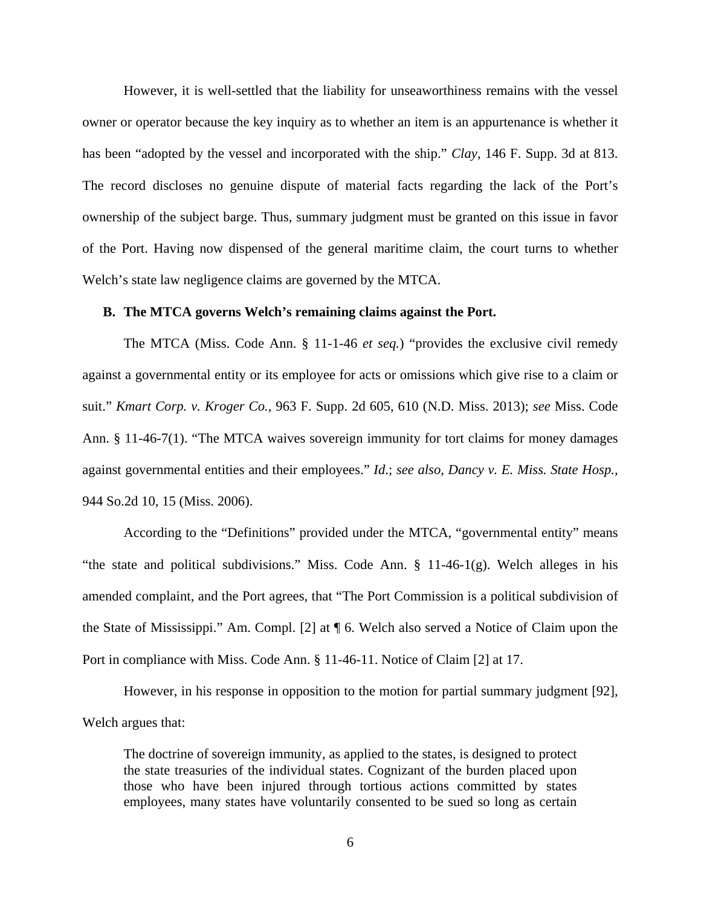However, it is well-settled that the liability for unseaworthiness remains with the vessel owner or operator because the key inquiry as to whether an item is an appurtenance is whether it has been "adopted by the vessel and incorporated with the ship." *Clay*, 146 F. Supp. 3d at 813. The record discloses no genuine dispute of material facts regarding the lack of the Port's ownership of the subject barge. Thus, summary judgment must be granted on this issue in favor of the Port. Having now dispensed of the general maritime claim, the court turns to whether Welch's state law negligence claims are governed by the MTCA.

## **B. The MTCA governs Welch's remaining claims against the Port.**

 The MTCA (Miss. Code Ann. § 11-1-46 *et seq.*) "provides the exclusive civil remedy against a governmental entity or its employee for acts or omissions which give rise to a claim or suit." *Kmart Corp. v. Kroger Co.*, 963 F. Supp. 2d 605, 610 (N.D. Miss. 2013); *see* Miss. Code Ann. § 11-46-7(1). "The MTCA waives sovereign immunity for tort claims for money damages against governmental entities and their employees." *Id*.; *see also, Dancy v. E. Miss. State Hosp.,* 944 So.2d 10, 15 (Miss. 2006).

 According to the "Definitions" provided under the MTCA, "governmental entity" means "the state and political subdivisions." Miss. Code Ann. § 11-46-1(g). Welch alleges in his amended complaint, and the Port agrees, that "The Port Commission is a political subdivision of the State of Mississippi." Am. Compl. [2] at ¶ 6. Welch also served a Notice of Claim upon the Port in compliance with Miss. Code Ann. § 11-46-11. Notice of Claim [2] at 17.

 However, in his response in opposition to the motion for partial summary judgment [92], Welch argues that:

The doctrine of sovereign immunity, as applied to the states, is designed to protect the state treasuries of the individual states. Cognizant of the burden placed upon those who have been injured through tortious actions committed by states employees, many states have voluntarily consented to be sued so long as certain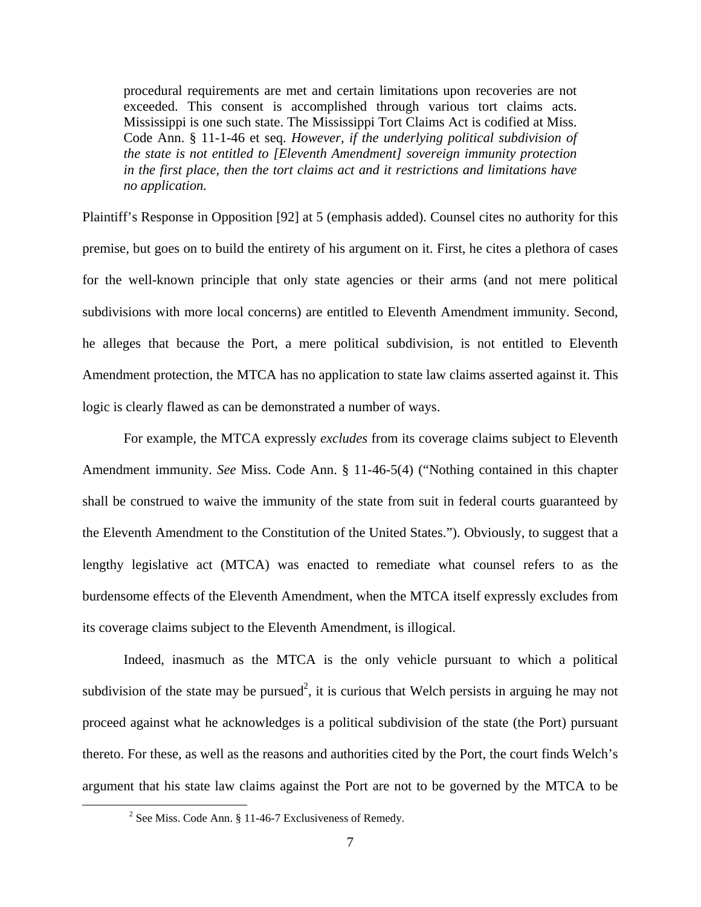procedural requirements are met and certain limitations upon recoveries are not exceeded. This consent is accomplished through various tort claims acts. Mississippi is one such state. The Mississippi Tort Claims Act is codified at Miss. Code Ann. § 11-1-46 et seq. *However, if the underlying political subdivision of the state is not entitled to [Eleventh Amendment] sovereign immunity protection in the first place, then the tort claims act and it restrictions and limitations have no application.* 

Plaintiff's Response in Opposition [92] at 5 (emphasis added). Counsel cites no authority for this premise, but goes on to build the entirety of his argument on it. First, he cites a plethora of cases for the well-known principle that only state agencies or their arms (and not mere political subdivisions with more local concerns) are entitled to Eleventh Amendment immunity. Second, he alleges that because the Port, a mere political subdivision, is not entitled to Eleventh Amendment protection, the MTCA has no application to state law claims asserted against it. This logic is clearly flawed as can be demonstrated a number of ways.

 For example, the MTCA expressly *excludes* from its coverage claims subject to Eleventh Amendment immunity. *See* Miss. Code Ann. § 11-46-5(4) ("Nothing contained in this chapter shall be construed to waive the immunity of the state from suit in federal courts guaranteed by the Eleventh Amendment to the Constitution of the United States."). Obviously, to suggest that a lengthy legislative act (MTCA) was enacted to remediate what counsel refers to as the burdensome effects of the Eleventh Amendment, when the MTCA itself expressly excludes from its coverage claims subject to the Eleventh Amendment, is illogical.

 Indeed, inasmuch as the MTCA is the only vehicle pursuant to which a political subdivision of the state may be pursued<sup>2</sup>, it is curious that Welch persists in arguing he may not proceed against what he acknowledges is a political subdivision of the state (the Port) pursuant thereto. For these, as well as the reasons and authorities cited by the Port, the court finds Welch's argument that his state law claims against the Port are not to be governed by the MTCA to be

<u>.</u>

<sup>&</sup>lt;sup>2</sup> See Miss. Code Ann. § 11-46-7 Exclusiveness of Remedy.